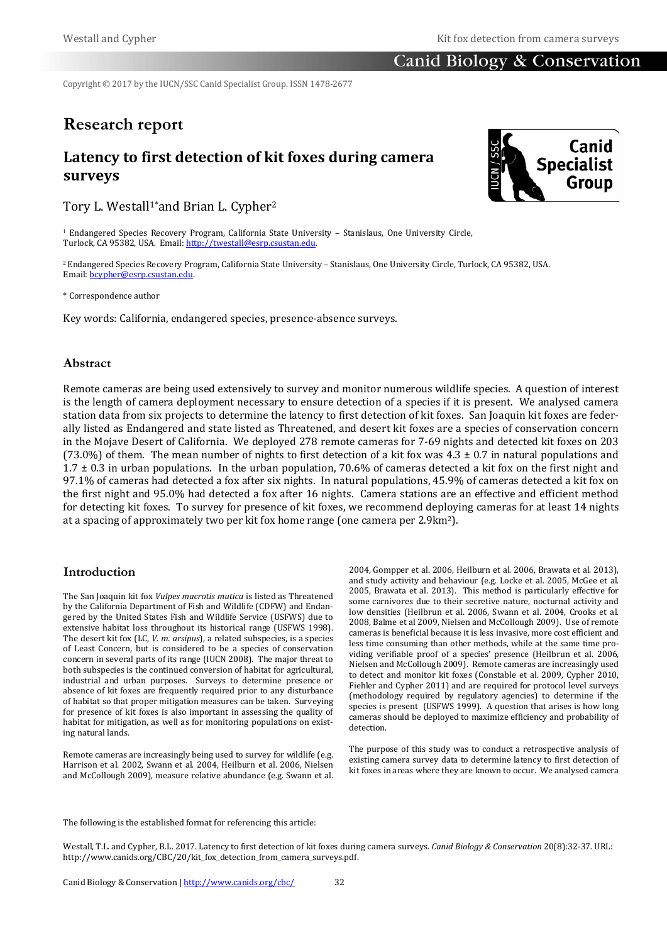## Canid Biology & Conservation

Copyright © 2017 by the IUCN/SSC Canid Specialist Group. ISSN 1478-2677

# **Research report**

# **Latency to first detection of kit foxes during camera surveys**

Tory L. Westall<sup>1\*</sup>and Brian L. Cypher<sup>2</sup>

1 Endangered Species Recovery Program, California State University – Stanislaus, One University Circle, Turlock, CA 95382, USA. Email[: http://twestall@esrp.csustan.edu.](http://twestall@esrp.csustan.edu/)

2Endangered Species Recovery Program, California State University – Stanislaus, One University Circle, Turlock, CA 95382, USA. Email[: bcypher@esrp.csustan.edu.](mailto:bcypher@esrp.csustan.edu)

\* Correspondence author

Key words: California, endangered species, presence-absence surveys.

## **Abstract**

Remote cameras are being used extensively to survey and monitor numerous wildlife species. A question of interest is the length of camera deployment necessary to ensure detection of a species if it is present. We analysed camera station data from six projects to determine the latency to first detection of kit foxes. San Joaquin kit foxes are federally listed as Endangered and state listed as Threatened, and desert kit foxes are a species of conservation concern in the Mojave Desert of California. We deployed 278 remote cameras for 7-69 nights and detected kit foxes on 203 (73.0%) of them. The mean number of nights to first detection of a kit fox was  $4.3 \pm 0.7$  in natural populations and 1.7 ± 0.3 in urban populations. In the urban population, 70.6% of cameras detected a kit fox on the first night and 97.1% of cameras had detected a fox after six nights. In natural populations, 45.9% of cameras detected a kit fox on the first night and 95.0% had detected a fox after 16 nights. Camera stations are an effective and efficient method for detecting kit foxes. To survey for presence of kit foxes, we recommend deploying cameras for at least 14 nights at a spacing of approximately two per kit fox home range (one camera per 2.9km2).

## **Introduction**

The San Joaquin kit fox *Vulpes macrotis mutica* is listed as Threatened by the California Department of Fish and Wildlife (CDFW) and Endangered by the United States Fish and Wildlife Service (USFWS) due to extensive habitat loss throughout its historical range (USFWS 1998). The desert kit fox (LC, *V. m. arsipus*), a related subspecies, is a species of Least Concern, but is considered to be a species of conservation concern in several parts of its range (IUCN 2008). The major threat to both subspecies is the continued conversion of habitat for agricultural, industrial and urban purposes. Surveys to determine presence or absence of kit foxes are frequently required prior to any disturbance of habitat so that proper mitigation measures can be taken. Surveying for presence of kit foxes is also important in assessing the quality of habitat for mitigation, as well as for monitoring populations on existing natural lands.

Remote cameras are increasingly being used to survey for wildlife (e.g. Harrison et al. 2002, Swann et al. 2004, Heilburn et al. 2006, Nielsen and McCollough 2009), measure relative abundance (e.g. Swann et al. 2004, Gompper et al. 2006, Heilburn et al. 2006, Brawata et al. 2013), and study activity and behaviour (e.g. Locke et al. 2005, McGee et al. 2005, Brawata et al. 2013). This method is particularly effective for some carnivores due to their secretive nature, nocturnal activity and low densities (Heilbrun et al. 2006, Swann et al. 2004, Crooks et al. 2008, Balme et al 2009, Nielsen and McCollough 2009). Use of remote cameras is beneficial because it is less invasive, more cost efficient and less time consuming than other methods, while at the same time providing verifiable proof of a species' presence (Heilbrun et al. 2006, Nielsen and McCollough 2009). Remote cameras are increasingly used to detect and monitor kit foxes (Constable et al. 2009, Cypher 2010, Fiehler and Cypher 2011) and are required for protocol level surveys (methodology required by regulatory agencies) to determine if the species is present (USFWS 1999). A question that arises is how long cameras should be deployed to maximize efficiency and probability of detection.

The purpose of this study was to conduct a retrospective analysis of existing camera survey data to determine latency to first detection of kit foxes in areas where they are known to occur. We analysed camera

The following is the established format for referencing this article:

Westall, T.L. and Cypher, B.L. 2017. Latency to first detection of kit foxes during camera surveys. *Canid Biology & Conservation* 20(8):32-37. URL: http://www.canids.org/CBC/20/kit\_fox\_detection\_from\_camera\_surveys.pdf.

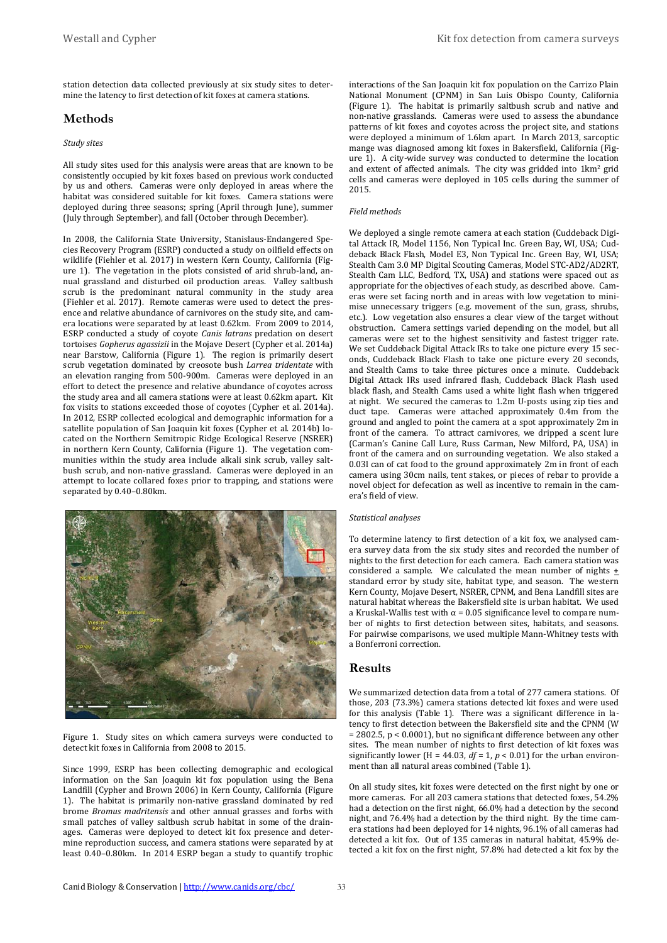station detection data collected previously at six study sites to determine the latency to first detection of kit foxes at camera stations.

## **Methods**

#### *Study sites*

All study sites used for this analysis were areas that are known to be consistently occupied by kit foxes based on previous work conducted by us and others. Cameras were only deployed in areas where the habitat was considered suitable for kit foxes. Camera stations were deployed during three seasons; spring (April through June), summer (July through September), and fall (October through December).

In 2008, the California State University, Stanislaus-Endangered Species Recovery Program (ESRP) conducted a study on oilfield effects on wildlife (Fiehler et al. 2017) in western Kern County, California (Figure 1). The vegetation in the plots consisted of arid shrub-land, annual grassland and disturbed oil production areas. Valley saltbush scrub is the predominant natural community in the study area (Fiehler et al. 2017). Remote cameras were used to detect the presence and relative abundance of carnivores on the study site, and camera locations were separated by at least 0.62km. From 2009 to 2014, ESRP conducted a study of coyote *Canis latrans* predation on desert tortoises *Gopherus agassizii* in the Mojave Desert (Cypher et al. 2014a) near Barstow, California (Figure 1). The region is primarily desert scrub vegetation dominated by creosote bush *Larrea tridentate* with an elevation ranging from 500-900m. Cameras were deployed in an effort to detect the presence and relative abundance of coyotes across the study area and all camera stations were at least 0.62km apart. Kit fox visits to stations exceeded those of coyotes (Cypher et al. 2014a). In 2012, ESRP collected ecological and demographic information for a satellite population of San Joaquin kit foxes (Cypher et al. 2014b) located on the Northern Semitropic Ridge Ecological Reserve (NSRER) in northern Kern County, California (Figure 1). The vegetation communities within the study area include alkali sink scrub, valley saltbush scrub, and non-native grassland. Cameras were deployed in an attempt to locate collared foxes prior to trapping, and stations were separated by 0.40–0.80km.



Figure 1. Study sites on which camera surveys were conducted to detect kit foxes in California from 2008 to 2015.

Since 1999, ESRP has been collecting demographic and ecological information on the San Joaquin kit fox population using the Bena Landfill (Cypher and Brown 2006) in Kern County, California (Figure 1). The habitat is primarily non-native grassland dominated by red brome *Bromus madritensis* and other annual grasses and forbs with small patches of valley saltbush scrub habitat in some of the drainages. Cameras were deployed to detect kit fox presence and determine reproduction success, and camera stations were separated by at least 0.40–0.80km. In 2014 ESRP began a study to quantify trophic interactions of the San Joaquin kit fox population on the Carrizo Plain National Monument (CPNM) in San Luis Obispo County, California (Figure 1). The habitat is primarily saltbush scrub and native and non-native grasslands. Cameras were used to assess the abundance patterns of kit foxes and coyotes across the project site, and stations were deployed a minimum of 1.6km apart. In March 2013, sarcoptic mange was diagnosed among kit foxes in Bakersfield, California (Figure 1). A city-wide survey was conducted to determine the location and extent of affected animals. The city was gridded into 1km<sup>2</sup> grid cells and cameras were deployed in 105 cells during the summer of 2015.

#### *Field methods*

We deployed a single remote camera at each station (Cuddeback Digital Attack IR, Model 1156, Non Typical Inc. Green Bay, WI, USA; Cuddeback Black Flash, Model E3, Non Typical Inc. Green Bay, WI, USA; Stealth Cam 3.0 MP Digital Scouting Cameras, Model STC-AD2/AD2RT, Stealth Cam LLC, Bedford, TX, USA) and stations were spaced out as appropriate for the objectives of each study, as described above. Cameras were set facing north and in areas with low vegetation to minimise unnecessary triggers (e.g. movement of the sun, grass, shrubs, etc.). Low vegetation also ensures a clear view of the target without obstruction. Camera settings varied depending on the model, but all cameras were set to the highest sensitivity and fastest trigger rate. We set Cuddeback Digital Attack IRs to take one picture every 15 seconds, Cuddeback Black Flash to take one picture every 20 seconds, and Stealth Cams to take three pictures once a minute. Cuddeback Digital Attack IRs used infrared flash, Cuddeback Black Flash used black flash, and Stealth Cams used a white light flash when triggered at night. We secured the cameras to 1.2m U-posts using zip ties and duct tape. Cameras were attached approximately 0.4m from the ground and angled to point the camera at a spot approximately 2m in front of the camera. To attract carnivores, we dripped a scent lure (Carman's Canine Call Lure, Russ Carman, New Milford, PA, USA) in front of the camera and on surrounding vegetation. We also staked a 0.03l can of cat food to the ground approximately 2m in front of each camera using 30cm nails, tent stakes, or pieces of rebar to provide a novel object for defecation as well as incentive to remain in the camera's field of view.

#### *Statistical analyses*

To determine latency to first detection of a kit fox, we analysed camera survey data from the six study sites and recorded the number of nights to the first detection for each camera. Each camera station was considered a sample. We calculated the mean number of nights  $\pm$ standard error by study site, habitat type, and season. The western Kern County, Mojave Desert, NSRER, CPNM, and Bena Landfill sites are natural habitat whereas the Bakersfield site is urban habitat. We used a Kruskal-Wallis test with  $\alpha$  = 0.05 significance level to compare number of nights to first detection between sites, habitats, and seasons. For pairwise comparisons, we used multiple Mann-Whitney tests with a Bonferroni correction.

## **Results**

We summarized detection data from a total of 277 camera stations. Of those, 203 (73.3%) camera stations detected kit foxes and were used for this analysis (Table 1). There was a significant difference in latency to first detection between the Bakersfield site and the CPNM (W = 2802.5, p < 0.0001), but no significant difference between any other sites. The mean number of nights to first detection of kit foxes was significantly lower (H = 44.03,  $df = 1$ ,  $p < 0.01$ ) for the urban environment than all natural areas combined (Table 1).

On all study sites, kit foxes were detected on the first night by one or more cameras. For all 203 camera stations that detected foxes, 54.2% had a detection on the first night, 66.0% had a detection by the second night, and 76.4% had a detection by the third night. By the time camera stations had been deployed for 14 nights, 96.1% of all cameras had detected a kit fox. Out of 135 cameras in natural habitat, 45.9% detected a kit fox on the first night, 57.8% had detected a kit fox by the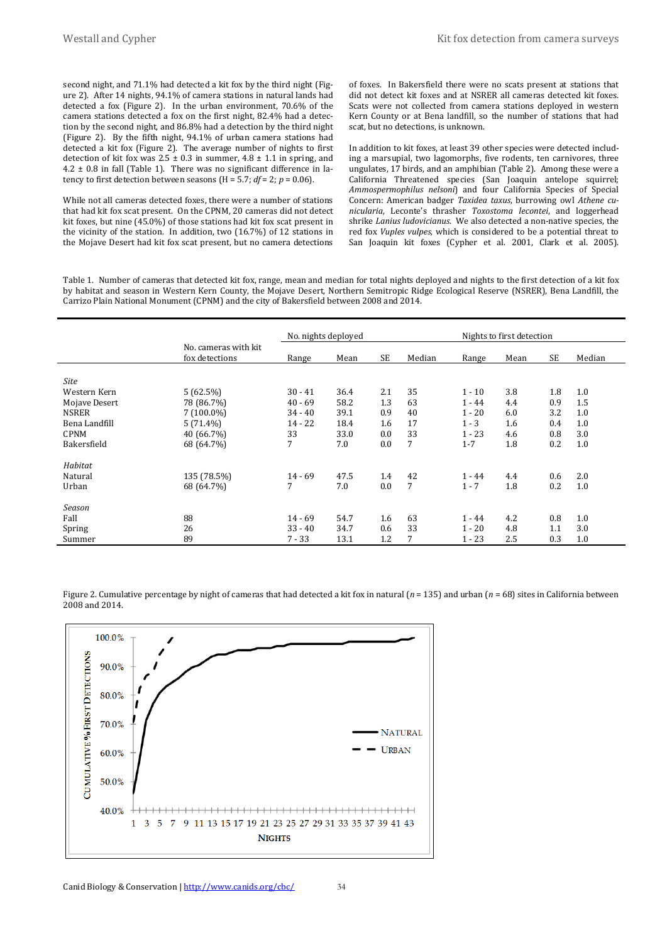second night, and 71.1% had detected a kit fox by the third night (Figure 2). After 14 nights, 94.1% of camera stations in natural lands had detected a fox (Figure 2). In the urban environment, 70.6% of the camera stations detected a fox on the first night, 82.4% had a detection by the second night, and 86.8% had a detection by the third night (Figure 2). By the fifth night, 94.1% of urban camera stations had detected a kit fox (Figure 2). The average number of nights to first detection of kit fox was  $2.5 \pm 0.3$  in summer,  $4.8 \pm 1.1$  in spring, and  $4.2 \pm 0.8$  in fall (Table 1). There was no significant difference in latency to first detection between seasons ( $H = 5.7$ ;  $df = 2$ ;  $p = 0.06$ ).

While not all cameras detected foxes, there were a number of stations that had kit fox scat present. On the CPNM, 20 cameras did not detect kit foxes, but nine (45.0%) of those stations had kit fox scat present in the vicinity of the station. In addition, two (16.7%) of 12 stations in the Mojave Desert had kit fox scat present, but no camera detections

of foxes. In Bakersfield there were no scats present at stations that did not detect kit foxes and at NSRER all cameras detected kit foxes. Scats were not collected from camera stations deployed in western Kern County or at Bena landfill, so the number of stations that had scat, but no detections, is unknown.

In addition to kit foxes, at least 39 other species were detected including a marsupial, two lagomorphs, five rodents, ten carnivores, three ungulates, 17 birds, and an amphibian (Table 2). Among these were a California Threatened species (San Joaquin antelope squirrel; *Ammospermophilus nelsoni*) and four California Species of Special Concern: American badger *Taxidea taxus*, burrowing owl *Athene cunicularia*, Leconte's thrasher *Toxostoma lecontei*, and loggerhead shrike *Lanius ludovicianus*. We also detected a non-native species, the red fox *Vuples vulpes*, which is considered to be a potential threat to San Joaquin kit foxes (Cypher et al. 2001, Clark et al. 2005).

Table 1. Number of cameras that detected kit fox, range, mean and median for total nights deployed and nights to the first detection of a kit fox by habitat and season in Western Kern County, the Mojave Desert, Northern Semitropic Ridge Ecological Reserve (NSRER), Bena Landfill, the Carrizo Plain National Monument (CPNM) and the city of Bakersfield between 2008 and 2014.

|               |                                        | No. nights deployed |      |           |        | Nights to first detection |      |           |        |
|---------------|----------------------------------------|---------------------|------|-----------|--------|---------------------------|------|-----------|--------|
|               | No. cameras with kit<br>fox detections | Range               | Mean | <b>SE</b> | Median | Range                     | Mean | <b>SE</b> | Median |
| Site          |                                        |                     |      |           |        |                           |      |           |        |
| Western Kern  | 5(62.5%)                               | $30 - 41$           | 36.4 | 2.1       | 35     | $1 - 10$                  | 3.8  | 1.8       | 1.0    |
| Mojave Desert | 78 (86.7%)                             | $40 - 69$           | 58.2 | 1.3       | 63     | $1 - 44$                  | 4.4  | 0.9       | 1.5    |
| <b>NSRER</b>  | $7(100.0\%)$                           | $34 - 40$           | 39.1 | 0.9       | 40     | $1 - 20$                  | 6.0  | 3.2       | 1.0    |
| Bena Landfill | $5(71.4\%)$                            | $14 - 22$           | 18.4 | 1.6       | 17     | $1 - 3$                   | 1.6  | 0.4       | 1.0    |
| <b>CPNM</b>   | 40 (66.7%)                             | 33                  | 33.0 | 0.0       | 33     | $1 - 23$                  | 4.6  | 0.8       | 3.0    |
| Bakersfield   | 68 (64.7%)                             | 7                   | 7.0  | 0.0       | 7      | $1 - 7$                   | 1.8  | 0.2       | 1.0    |
| Habitat       |                                        |                     |      |           |        |                           |      |           |        |
| Natural       | 135 (78.5%)                            | $14 - 69$           | 47.5 | 1.4       | 42     | $1 - 44$                  | 4.4  | 0.6       | 2.0    |
| Urban         | 68 (64.7%)                             | 7                   | 7.0  | 0.0       | 7      | $1 - 7$                   | 1.8  | 0.2       | 1.0    |
| Season        |                                        |                     |      |           |        |                           |      |           |        |
| Fall          | 88                                     | $14 - 69$           | 54.7 | 1.6       | 63     | $1 - 44$                  | 4.2  | 0.8       | 1.0    |
| Spring        | 26                                     | $33 - 40$           | 34.7 | 0.6       | 33     | $1 - 20$                  | 4.8  | 1.1       | 3.0    |
| Summer        | 89                                     | $7 - 33$            | 13.1 | 1.2       | 7      | $1 - 23$                  | 2.5  | 0.3       | 1.0    |

Figure 2. Cumulative percentage by night of cameras that had detected a kit fox in natural  $(n = 135)$  and urban  $(n = 68)$  sites in California between 2008 and 2014.

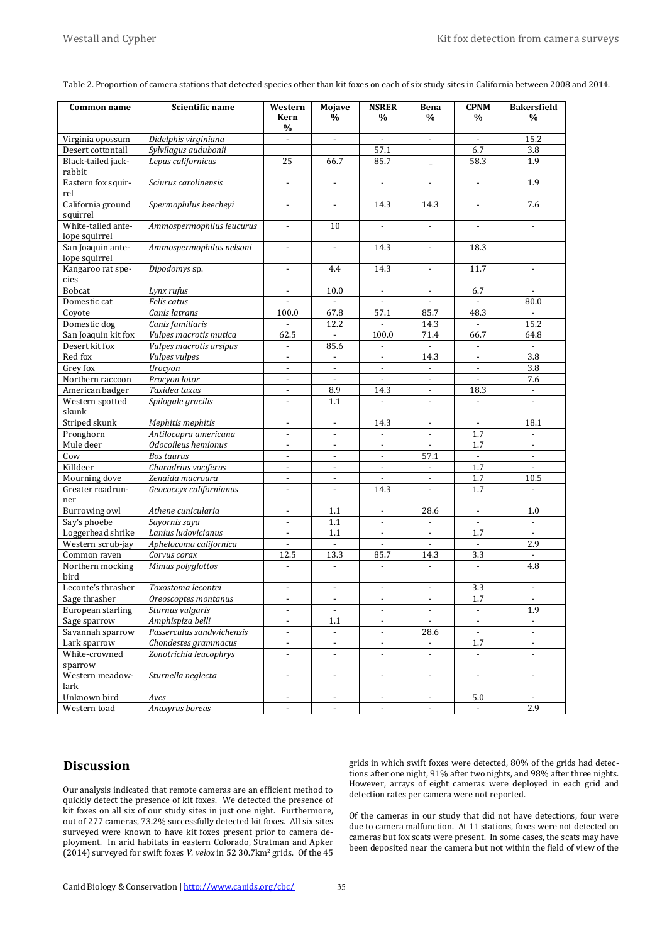| Common name                         | Scientific name           | Western                  | Mojave                    | <b>NSRER</b>             | Bena                     | <b>CPNM</b>              | <b>Bakersfield</b>       |
|-------------------------------------|---------------------------|--------------------------|---------------------------|--------------------------|--------------------------|--------------------------|--------------------------|
|                                     |                           | Kern<br>$\frac{0}{0}$    | %                         | %                        | $\%$                     | $\frac{0}{0}$            | $\%$                     |
| Virginia opossum                    | Didelphis virginiana      | $\blacksquare$           | $\overline{\phantom{a}}$  |                          | $\overline{\phantom{a}}$ |                          | 15.2                     |
| Desert cottontail                   | Sylvilagus audubonii      |                          |                           | 57.1                     |                          | 6.7                      | 3.8                      |
| Black-tailed jack-<br>rabbit        | Lepus californicus        | 25                       | 66.7                      | 85.7                     |                          | 58.3                     | 1.9                      |
| Eastern fox squir-<br>rel           | Sciurus carolinensis      |                          |                           |                          |                          |                          | 1.9                      |
| California ground<br>squirrel       | Spermophilus beecheyi     | $\blacksquare$           | $\overline{\phantom{a}}$  | 14.3                     | 14.3                     | $\blacksquare$           | 7.6                      |
| White-tailed ante-<br>lope squirrel | Ammospermophilus leucurus | $\overline{\phantom{a}}$ | 10                        | $\blacksquare$           | $\blacksquare$           | $\overline{\phantom{a}}$ | $\blacksquare$           |
| San Joaquin ante-<br>lope squirrel  | Ammospermophilus nelsoni  | $\blacksquare$           | $\blacksquare$            | 14.3                     | $\blacksquare$           | 18.3                     |                          |
| Kangaroo rat spe-<br>cies           | Dipodomys sp.             | $\blacksquare$           | 4.4                       | 14.3                     | $\overline{\phantom{a}}$ | 11.7                     |                          |
| Bobcat                              | Lynx rufus                | $\overline{\phantom{a}}$ | 10.0                      |                          | $\blacksquare$           | 6.7                      |                          |
| Domestic cat                        | Felis catus               | $\overline{\phantom{a}}$ | $\mathbb{Z}^{\mathbb{Z}}$ | $\mathcal{L}$            | $\mathcal{L}$            | $\mathbb{Z}^+$           | 80.0                     |
| Coyote                              | Canis latrans             | 100.0                    | 67.8                      | 57.1                     | 85.7                     | 48.3                     |                          |
| Domestic dog                        | Canis familiaris          | $\blacksquare$           | 12.2                      |                          | 14.3                     | $\overline{\phantom{a}}$ | 15.2                     |
| San Joaquin kit fox                 | Vulpes macrotis mutica    | 62.5                     | $\Box$                    | 100.0                    | 71.4                     | 66.7                     | 64.8                     |
| Desert kit fox                      | Vulpes macrotis arsipus   | $\overline{\phantom{a}}$ | 85.6                      |                          |                          |                          |                          |
| Red fox                             | Vulpes vulpes             |                          |                           |                          | 14.3                     |                          | 3.8                      |
| Grey fox                            | Urocyon                   | $\overline{\phantom{a}}$ | $\blacksquare$            | $\overline{\phantom{a}}$ | $\overline{\phantom{a}}$ | $\overline{\phantom{a}}$ | 3.8                      |
| Northern raccoon                    | Procyon lotor             | $\overline{\phantom{a}}$ | $\blacksquare$            | $\blacksquare$           | $\overline{\phantom{a}}$ | $\overline{\phantom{a}}$ | 7.6                      |
| American badger                     | Taxidea taxus             | $\overline{\phantom{a}}$ | 8.9                       | 14.3                     | $\overline{\phantom{a}}$ | 18.3                     |                          |
| Western spotted<br>skunk            | Spilogale gracilis        | $\overline{\phantom{a}}$ | 1.1                       | $\overline{\phantom{a}}$ | $\overline{\phantom{a}}$ | $\overline{a}$           |                          |
| Striped skunk                       | Mephitis mephitis         | $\overline{\phantom{a}}$ | $\blacksquare$            | 14.3                     | $\blacksquare$           | $\blacksquare$           | 18.1                     |
| Pronghorn                           | Antilocapra americana     | $\overline{\phantom{a}}$ | $\overline{\phantom{a}}$  |                          | $\overline{\phantom{a}}$ | 1.7                      |                          |
| Mule deer                           | Odocoileus hemionus       | $\overline{\phantom{a}}$ | $\overline{\phantom{a}}$  |                          |                          | 1.7                      |                          |
| Cow                                 | <b>Bos taurus</b>         | $\blacksquare$           | $\blacksquare$            | $\mathbb{L}^+$           | 57.1                     | $\mathbb{Z}^2$           | $\overline{\phantom{a}}$ |
| Killdeer                            | Charadrius vociferus      | $\overline{\phantom{a}}$ | $\overline{\phantom{a}}$  | $\overline{\phantom{a}}$ | $\overline{\phantom{a}}$ | 1.7                      |                          |
| Mourning dove                       | Zenaida macroura          | $\overline{\phantom{a}}$ | $\overline{\phantom{a}}$  |                          | $\overline{\phantom{a}}$ | 1.7                      | 10.5                     |
| Greater roadrun-<br>ner             | Geococcyx californianus   | $\overline{\phantom{a}}$ | $\blacksquare$            | 14.3                     | $\blacksquare$           | 1.7                      | $\overline{a}$           |
| <b>Burrowing owl</b>                | Athene cunicularia        | $\overline{\phantom{a}}$ | 1.1                       |                          | 28.6                     |                          | 1.0                      |
| Say's phoebe                        | Sayornis saya             | $\overline{\phantom{a}}$ | 1.1                       | $\overline{\phantom{a}}$ | $\overline{\phantom{a}}$ | $\overline{\phantom{a}}$ | $\overline{\phantom{a}}$ |
| Loggerhead shrike                   | Lanius ludovicianus       | $\overline{\phantom{a}}$ | 1.1                       | $\overline{\phantom{a}}$ | $\overline{\phantom{a}}$ | 1.7                      | $\overline{\phantom{a}}$ |
| Western scrub-jay                   | Aphelocoma californica    | $\mathbf{r}$             | $\mathbf{r}$              | $\mathbf{r}$             | $\mathbf{r}$             | $\overline{\phantom{a}}$ | 2.9                      |
| Common raven                        | Corvus corax              | 12.5                     | 13.3                      | 85.7                     | 14.3                     | 3.3                      | $\overline{\phantom{a}}$ |
| Northern mocking<br>bird            | Mimus polyglottos         | $\overline{\phantom{a}}$ | $\overline{\phantom{a}}$  | $\overline{\phantom{a}}$ | $\overline{\phantom{a}}$ | $\overline{\phantom{a}}$ | 4.8                      |
| Leconte's thrasher                  | Toxostoma lecontei        | $\overline{\phantom{a}}$ | $\overline{\phantom{a}}$  | $\blacksquare$           | $\blacksquare$           | 3.3                      | $\blacksquare$           |
| Sage thrasher                       | Oreoscoptes montanus      |                          |                           |                          |                          | 1.7                      |                          |
| European starling                   | Sturnus vulgaris          | $\overline{\phantom{a}}$ | $\overline{\phantom{a}}$  | $\overline{\phantom{a}}$ | $\overline{\phantom{a}}$ | $\overline{\phantom{a}}$ | 1.9                      |
| Sage sparrow                        | Amphispiza belli          | $\overline{\phantom{a}}$ | 1.1                       | $\overline{\phantom{a}}$ | $\overline{\phantom{a}}$ | $\overline{\phantom{a}}$ | $\overline{\phantom{a}}$ |
| Savannah sparrow                    | Passerculus sandwichensis |                          |                           |                          | 28.6                     |                          |                          |
| Lark sparrow                        | Chondestes grammacus      | $\overline{\phantom{a}}$ | $\blacksquare$            | $\overline{\phantom{a}}$ | $\blacksquare$           | $1.7\,$                  | $\overline{\phantom{a}}$ |
| White-crowned                       | Zonotrichia leucophrys    | $\overline{\phantom{a}}$ | $\overline{\phantom{a}}$  | $\overline{\phantom{a}}$ | $\overline{\phantom{a}}$ | $\overline{\phantom{a}}$ | $\overline{\phantom{a}}$ |
| sparrow                             |                           |                          |                           |                          |                          |                          |                          |
| Western meadow-<br>lark             | Sturnella neglecta        | $\overline{\phantom{a}}$ | $\overline{\phantom{a}}$  | $\overline{\phantom{a}}$ | $\overline{\phantom{a}}$ | $\overline{\phantom{a}}$ | $\overline{\phantom{a}}$ |
| Unknown bird                        | Aves                      | $\overline{\phantom{a}}$ | $\blacksquare$            | $\overline{\phantom{a}}$ | $\blacksquare$           | 5.0                      | $\sim$                   |
| Western toad                        | Anaxyrus boreas           | $\overline{\phantom{a}}$ | $\overline{\phantom{a}}$  | $\overline{\phantom{a}}$ | $\overline{\phantom{a}}$ | $\overline{\phantom{a}}$ | 2.9                      |

Table 2. Proportion of camera stations that detected species other than kit foxes on each of six study sites in California between 2008 and 2014.

## **Discussion**

Our analysis indicated that remote cameras are an efficient method to quickly detect the presence of kit foxes. We detected the presence of kit foxes on all six of our study sites in just one night. Furthermore, out of 277 cameras, 73.2% successfully detected kit foxes. All six sites surveyed were known to have kit foxes present prior to camera deployment. In arid habitats in eastern Colorado, Stratman and Apker (2014) surveyed for swift foxes *V. velox* in 52 30.7km2 grids. Of the 45

grids in which swift foxes were detected, 80% of the grids had detections after one night, 91% after two nights, and 98% after three nights. However, arrays of eight cameras were deployed in each grid and detection rates per camera were not reported.

Of the cameras in our study that did not have detections, four were due to camera malfunction. At 11 stations, foxes were not detected on cameras but fox scats were present. In some cases, the scats may have been deposited near the camera but not within the field of view of the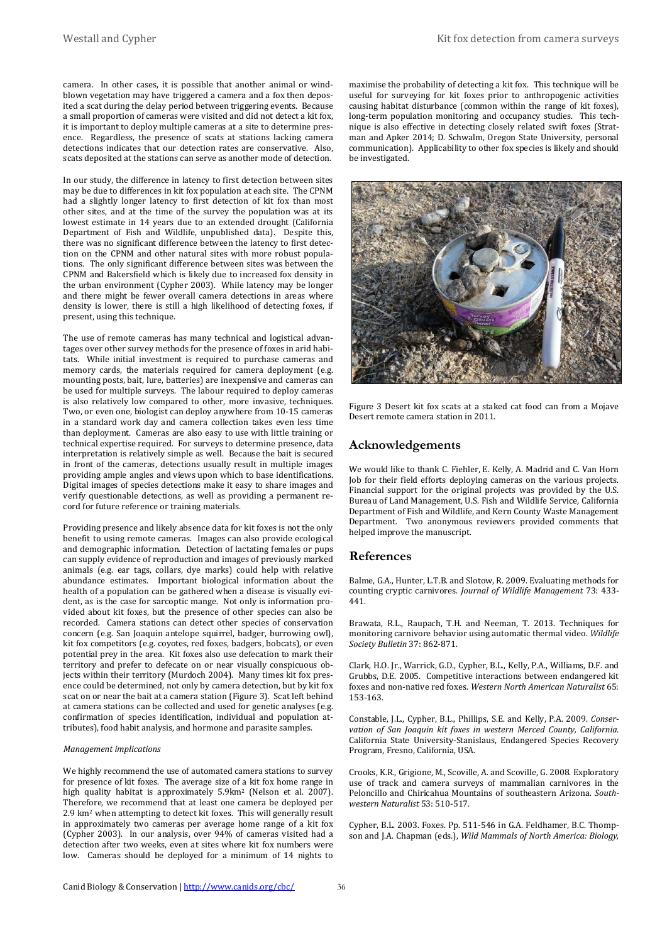camera. In other cases, it is possible that another animal or windblown vegetation may have triggered a camera and a fox then deposited a scat during the delay period between triggering events. Because a small proportion of cameras were visited and did not detect a kit fox, it is important to deploy multiple cameras at a site to determine presence. Regardless, the presence of scats at stations lacking camera detections indicates that our detection rates are conservative. Also, scats deposited at the stations can serve as another mode of detection.

In our study, the difference in latency to first detection between sites may be due to differences in kit fox population at each site. The CPNM had a slightly longer latency to first detection of kit fox than most other sites, and at the time of the survey the population was at its lowest estimate in 14 years due to an extended drought (California Department of Fish and Wildlife, unpublished data). Despite this, there was no significant difference between the latency to first detection on the CPNM and other natural sites with more robust populations. The only significant difference between sites was between the CPNM and Bakersfield which is likely due to increased fox density in the urban environment (Cypher 2003). While latency may be longer and there might be fewer overall camera detections in areas where density is lower, there is still a high likelihood of detecting foxes, if present, using this technique.

The use of remote cameras has many technical and logistical advantages over other survey methods for the presence of foxes in arid habitats. While initial investment is required to purchase cameras and memory cards, the materials required for camera deployment (e.g. mounting posts, bait, lure, batteries) are inexpensive and cameras can be used for multiple surveys. The labour required to deploy cameras is also relatively low compared to other, more invasive, techniques. Two, or even one, biologist can deploy anywhere from 10-15 cameras in a standard work day and camera collection takes even less time than deployment. Cameras are also easy to use with little training or technical expertise required. For surveys to determine presence, data interpretation is relatively simple as well. Because the bait is secured in front of the cameras, detections usually result in multiple images providing ample angles and views upon which to base identifications. Digital images of species detections make it easy to share images and verify questionable detections, as well as providing a permanent record for future reference or training materials.

Providing presence and likely absence data for kit foxes is not the only benefit to using remote cameras. Images can also provide ecological and demographic information. Detection of lactating females or pups can supply evidence of reproduction and images of previously marked animals (e.g. ear tags, collars, dye marks) could help with relative abundance estimates. Important biological information about the health of a population can be gathered when a disease is visually evident, as is the case for sarcoptic mange. Not only is information provided about kit foxes, but the presence of other species can also be recorded. Camera stations can detect other species of conservation concern (e.g. San Joaquin antelope squirrel, badger, burrowing owl), kit fox competitors (e.g. coyotes, red foxes, badgers, bobcats), or even potential prey in the area. Kit foxes also use defecation to mark their territory and prefer to defecate on or near visually conspicuous objects within their territory (Murdoch 2004). Many times kit fox presence could be determined, not only by camera detection, but by kit fox scat on or near the bait at a camera station (Figure 3). Scat left behind at camera stations can be collected and used for genetic analyses (e.g. confirmation of species identification, individual and population attributes), food habit analysis, and hormone and parasite samples.

#### *Management implications*

We highly recommend the use of automated camera stations to survey for presence of kit foxes. The average size of a kit fox home range in high quality habitat is approximately 5.9km<sup>2</sup> (Nelson et al. 2007). Therefore, we recommend that at least one camera be deployed per 2.9 km2 when attempting to detect kit foxes. This will generally result in approximately two cameras per average home range of a kit fox (Cypher 2003). In our analysis, over 94% of cameras visited had a detection after two weeks, even at sites where kit fox numbers were low. Cameras should be deployed for a minimum of 14 nights to

maximise the probability of detecting a kit fox. This technique will be useful for surveying for kit foxes prior to anthropogenic activities causing habitat disturbance (common within the range of kit foxes), long-term population monitoring and occupancy studies. This technique is also effective in detecting closely related swift foxes (Stratman and Apker 2014; D. Schwalm, Oregon State University, personal communication). Applicability to other fox species is likely and should be investigated.



Figure 3 Desert kit fox scats at a staked cat food can from a Mojave Desert remote camera station in 2011.

#### **Acknowledgements**

We would like to thank C. Fiehler, E. Kelly, A. Madrid and C. Van Horn Job for their field efforts deploying cameras on the various projects. Financial support for the original projects was provided by the U.S. Bureau of Land Management, U.S. Fish and Wildlife Service, California Department of Fish and Wildlife, and Kern County Waste Management Department. Two anonymous reviewers provided comments that helped improve the manuscript.

#### **References**

Balme, G.A., Hunter, L.T.B. and Slotow, R. 2009. Evaluating methods for counting cryptic carnivores. *Journal of Wildlife Management* 73: 433- 441.

Brawata, R.L., Raupach, T.H. and Neeman, T. 2013. Techniques for monitoring carnivore behavior using automatic thermal video. *Wildlife Society Bulletin* 37: 862-871.

Clark, H.O. Jr., Warrick, G.D., Cypher, B.L., Kelly, P.A., Williams, D.F. and Grubbs, D.E. 2005. Competitive interactions between endangered kit foxes and non-native red foxes. *Western North American Naturalist* 65: 153-163.

Constable, J.L., Cypher, B.L., Phillips, S.E. and Kelly, P.A. 2009. *Conservation of San Joaquin kit foxes in western Merced County, California*. California State University-Stanislaus, Endangered Species Recovery Program, Fresno, California, USA.

Crooks, K.R., Grigione, M., Scoville, A. and Scoville, G. 2008. Exploratory use of track and camera surveys of mammalian carnivores in the Peloncillo and Chiricahua Mountains of southeastern Arizona. *Southwestern Naturalist* 53: 510-517.

Cypher, B.L. 2003. Foxes. Pp. 511-546 in G.A. Feldhamer, B.C. Thompson and J.A. Chapman (eds.), *Wild Mammals of North America: Biology,*